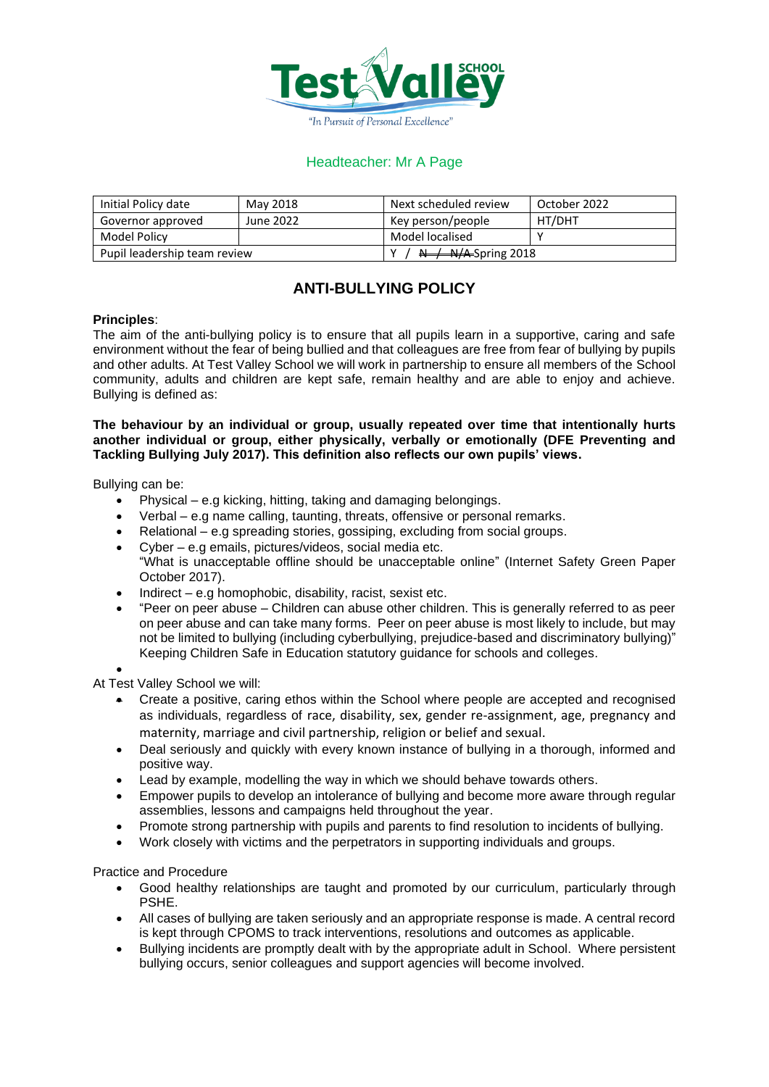

## Headteacher: Mr A Page

| Initial Policy date          | May 2018  | Next scheduled review                                                 | October 2022 |
|------------------------------|-----------|-----------------------------------------------------------------------|--------------|
| Governor approved            | June 2022 | Key person/people                                                     | HT/DHT       |
| Model Policy                 |           | Model localised                                                       |              |
| Pupil leadership team review |           | $\overline{N}$ $\rightarrow$ $\overline{N}/\overline{A}$ -Spring 2018 |              |

## **ANTI-BULLYING POLICY**

## **Principles**:

The aim of the anti-bullying policy is to ensure that all pupils learn in a supportive, caring and safe environment without the fear of being bullied and that colleagues are free from fear of bullying by pupils and other adults. At Test Valley School we will work in partnership to ensure all members of the School community, adults and children are kept safe, remain healthy and are able to enjoy and achieve. Bullying is defined as:

## **The behaviour by an individual or group, usually repeated over time that intentionally hurts another individual or group, either physically, verbally or emotionally (DFE Preventing and Tackling Bullying July 2017). This definition also reflects our own pupils' views.**

Bullying can be:

- Physical e.g kicking, hitting, taking and damaging belongings.
- Verbal e.g name calling, taunting, threats, offensive or personal remarks.
- Relational e.g spreading stories, gossiping, excluding from social groups.
- Cyber e.g emails, pictures/videos, social media etc. "What is unacceptable offline should be unacceptable online" (Internet Safety Green Paper October 2017).
- Indirect e.g homophobic, disability, racist, sexist etc.
- "Peer on peer abuse Children can abuse other children. This is generally referred to as peer on peer abuse and can take many forms. Peer on peer abuse is most likely to include, but may not be limited to bullying (including cyberbullying, prejudice-based and discriminatory bullying)" Keeping Children Safe in Education statutory guidance for schools and colleges.

•

At Test Valley School we will:

- Create a positive, caring ethos within the School where people are accepted and recognised as individuals, regardless of race, disability, sex, gender re-assignment, age, pregnancy and maternity, marriage and civil partnership, religion or belief and sexual.
- Deal seriously and quickly with every known instance of bullying in a thorough, informed and positive way.
- Lead by example, modelling the way in which we should behave towards others.
- Empower pupils to develop an intolerance of bullying and become more aware through regular assemblies, lessons and campaigns held throughout the year.
- Promote strong partnership with pupils and parents to find resolution to incidents of bullying.
- Work closely with victims and the perpetrators in supporting individuals and groups.

Practice and Procedure

- Good healthy relationships are taught and promoted by our curriculum, particularly through PSHE.
- All cases of bullying are taken seriously and an appropriate response is made. A central record is kept through CPOMS to track interventions, resolutions and outcomes as applicable.
- Bullying incidents are promptly dealt with by the appropriate adult in School. Where persistent bullying occurs, senior colleagues and support agencies will become involved.